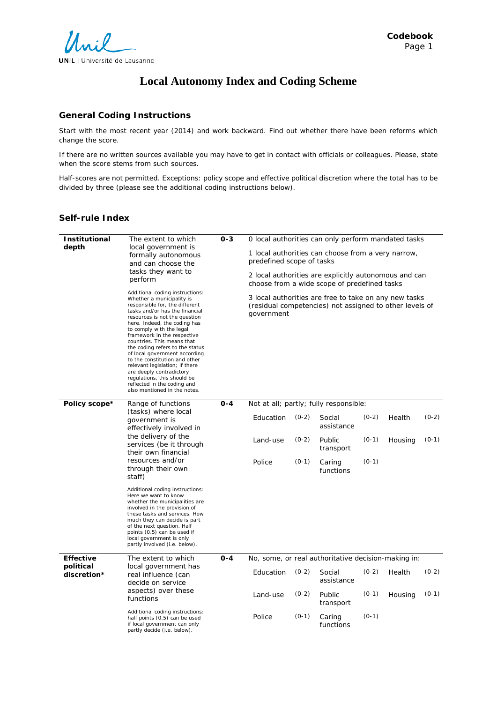

# **Local Autonomy Index and Coding Scheme**

### **General Coding Instructions**

Start with the most recent year (2014) and work backward. Find out whether there have been reforms which change the score.

If there are no written sources available you may have to get in contact with officials or colleagues. Please, state when the score stems from such sources.

Half-scores are not permitted. Exceptions: policy scope and effective political discretion where the total has to be divided by three (please see the additional coding instructions below).

### **Self-rule Index**

| <b>Institutional</b><br>depth | The extent to which<br>local government is<br>formally autonomous<br>and can choose the<br>tasks they want to<br>perform<br>Additional coding instructions:<br>Whether a municipality is<br>responsible for, the different<br>tasks and/or has the financial<br>resources is not the question<br>here. Indeed, the coding has<br>to comply with the legal<br>framework in the respective<br>countries. This means that<br>the coding refers to the status<br>of local government according<br>to the constitution and other<br>relevant legislation; if there | $0 - 3$ | predefined scope of tasks<br>government             |         | O local authorities can only perform mandated tasks<br>1 local authorities can choose from a very narrow,<br>2 local authorities are explicitly autonomous and can<br>choose from a wide scope of predefined tasks<br>3 local authorities are free to take on any new tasks<br>(residual competencies) not assigned to other levels of |         |         |         |
|-------------------------------|---------------------------------------------------------------------------------------------------------------------------------------------------------------------------------------------------------------------------------------------------------------------------------------------------------------------------------------------------------------------------------------------------------------------------------------------------------------------------------------------------------------------------------------------------------------|---------|-----------------------------------------------------|---------|----------------------------------------------------------------------------------------------------------------------------------------------------------------------------------------------------------------------------------------------------------------------------------------------------------------------------------------|---------|---------|---------|
|                               | are deeply contradictory<br>regulations, this should be<br>reflected in the coding and<br>also mentioned in the notes.                                                                                                                                                                                                                                                                                                                                                                                                                                        |         |                                                     |         |                                                                                                                                                                                                                                                                                                                                        |         |         |         |
| Policy scope*                 | Range of functions                                                                                                                                                                                                                                                                                                                                                                                                                                                                                                                                            | $0 - 4$ | Not at all; partly; fully responsible:              |         |                                                                                                                                                                                                                                                                                                                                        |         |         |         |
|                               | (tasks) where local<br>government is<br>effectively involved in                                                                                                                                                                                                                                                                                                                                                                                                                                                                                               |         | Education                                           | $(0-2)$ | Social<br>assistance                                                                                                                                                                                                                                                                                                                   | $(0-2)$ | Health  | $(0-2)$ |
|                               | the delivery of the<br>services (be it through<br>their own financial                                                                                                                                                                                                                                                                                                                                                                                                                                                                                         |         | Land-use                                            | $(0-2)$ | Public<br>transport                                                                                                                                                                                                                                                                                                                    | $(0-1)$ | Housing | $(0-1)$ |
|                               | resources and/or<br>through their own<br>staff)                                                                                                                                                                                                                                                                                                                                                                                                                                                                                                               |         | Police                                              | $(0-1)$ | Caring<br>functions                                                                                                                                                                                                                                                                                                                    | $(0-1)$ |         |         |
|                               | Additional coding instructions:<br>Here we want to know<br>whether the municipalities are<br>involved in the provision of<br>these tasks and services. How<br>much they can decide is part<br>of the next question. Half<br>points (0.5) can be used if<br>local government is only<br>partly involved (i.e. below).                                                                                                                                                                                                                                          |         |                                                     |         |                                                                                                                                                                                                                                                                                                                                        |         |         |         |
| <b>Effective</b>              | The extent to which                                                                                                                                                                                                                                                                                                                                                                                                                                                                                                                                           | $0 - 4$ | No, some, or real authoritative decision-making in: |         |                                                                                                                                                                                                                                                                                                                                        |         |         |         |
| political<br>discretion*      | local government has<br>real influence (can<br>decide on service<br>aspects) over these<br>functions                                                                                                                                                                                                                                                                                                                                                                                                                                                          |         | Education                                           | $(0-2)$ | Social<br>assistance                                                                                                                                                                                                                                                                                                                   | $(0-2)$ | Health  | $(0-2)$ |
|                               |                                                                                                                                                                                                                                                                                                                                                                                                                                                                                                                                                               |         | Land-use                                            | $(0-2)$ | Public<br>transport                                                                                                                                                                                                                                                                                                                    | $(0-1)$ | Housing | $(0-1)$ |
|                               | Additional coding instructions:<br>half points (0.5) can be used<br>if local government can only<br>partly decide (i.e. below).                                                                                                                                                                                                                                                                                                                                                                                                                               |         | Police                                              | $(0-1)$ | Caring<br>functions                                                                                                                                                                                                                                                                                                                    | $(0-1)$ |         |         |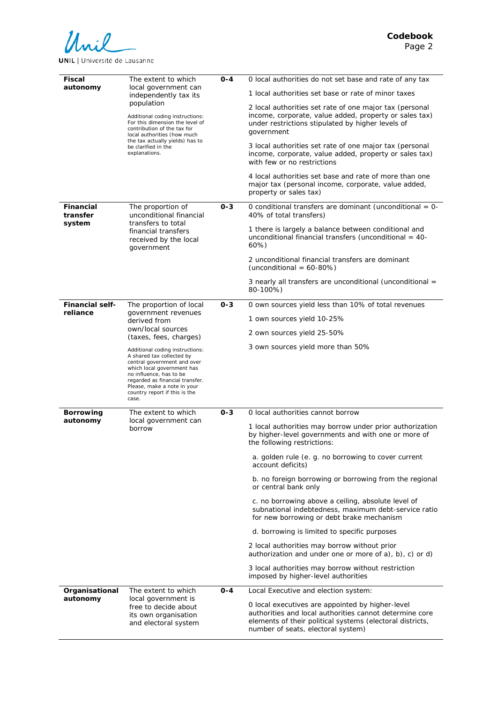

**UNIL** | Université de Lausanne

| Fiscal<br>autonomy                 | The extent to which<br>local government can<br>independently tax its<br>population<br>Additional coding instructions:<br>For this dimension the level of<br>contribution of the tax for<br>local authorities (how much<br>the tax actually yields) has to<br>be clarified in the<br>explanations. | $O - 4$ | 0 local authorities do not set base and rate of any tax                                                                                                                                                        |
|------------------------------------|---------------------------------------------------------------------------------------------------------------------------------------------------------------------------------------------------------------------------------------------------------------------------------------------------|---------|----------------------------------------------------------------------------------------------------------------------------------------------------------------------------------------------------------------|
|                                    |                                                                                                                                                                                                                                                                                                   |         | 1 local authorities set base or rate of minor taxes                                                                                                                                                            |
|                                    |                                                                                                                                                                                                                                                                                                   |         | 2 local authorities set rate of one major tax (personal<br>income, corporate, value added, property or sales tax)<br>under restrictions stipulated by higher levels of<br>government                           |
|                                    |                                                                                                                                                                                                                                                                                                   |         | 3 local authorities set rate of one major tax (personal<br>income, corporate, value added, property or sales tax)<br>with few or no restrictions                                                               |
|                                    |                                                                                                                                                                                                                                                                                                   |         | 4 local authorities set base and rate of more than one<br>major tax (personal income, corporate, value added,<br>property or sales tax)                                                                        |
| <b>Financial</b><br>transfer       | The proportion of<br>unconditional financial<br>transfers to total<br>financial transfers<br>received by the local<br>government                                                                                                                                                                  | $0 - 3$ | O conditional transfers are dominant (unconditional $= 0$ -<br>40% of total transfers)                                                                                                                         |
| system                             |                                                                                                                                                                                                                                                                                                   |         | 1 there is largely a balance between conditional and<br>unconditional financial transfers (unconditional $=$ 40-<br>60%)                                                                                       |
|                                    |                                                                                                                                                                                                                                                                                                   |         | 2 unconditional financial transfers are dominant<br>(unconditional = $60-80%$ )                                                                                                                                |
|                                    |                                                                                                                                                                                                                                                                                                   |         | 3 nearly all transfers are unconditional (unconditional =<br>80-100%)                                                                                                                                          |
| <b>Financial self-</b><br>reliance | The proportion of local<br>government revenues<br>derived from<br>own/local sources<br>(taxes, fees, charges)                                                                                                                                                                                     | $0 - 3$ | 0 own sources yield less than 10% of total revenues                                                                                                                                                            |
|                                    |                                                                                                                                                                                                                                                                                                   |         | 1 own sources yield 10-25%                                                                                                                                                                                     |
|                                    |                                                                                                                                                                                                                                                                                                   |         | 2 own sources yield 25-50%                                                                                                                                                                                     |
|                                    | Additional coding instructions:<br>A shared tax collected by<br>central government and over<br>which local government has<br>no influence, has to be<br>regarded as financial transfer.<br>Please, make a note in your<br>country report if this is the<br>case.                                  |         | 3 own sources yield more than 50%                                                                                                                                                                              |
| <b>Borrowing</b>                   | The extent to which                                                                                                                                                                                                                                                                               | $0 - 3$ | 0 local authorities cannot borrow                                                                                                                                                                              |
| autonomy                           | local government can<br>borrow                                                                                                                                                                                                                                                                    |         | 1 local authorities may borrow under prior authorization<br>by higher-level governments and with one or more of<br>the following restrictions:                                                                 |
|                                    |                                                                                                                                                                                                                                                                                                   |         | a. golden rule (e. g. no borrowing to cover current<br>account deficits)                                                                                                                                       |
|                                    |                                                                                                                                                                                                                                                                                                   |         | b. no foreign borrowing or borrowing from the regional<br>or central bank only                                                                                                                                 |
|                                    |                                                                                                                                                                                                                                                                                                   |         | c. no borrowing above a ceiling, absolute level of<br>subnational indebtedness, maximum debt-service ratio<br>for new borrowing or debt brake mechanism                                                        |
|                                    |                                                                                                                                                                                                                                                                                                   |         | d. borrowing is limited to specific purposes                                                                                                                                                                   |
|                                    |                                                                                                                                                                                                                                                                                                   |         | 2 local authorities may borrow without prior<br>authorization and under one or more of a), b), c) or d)                                                                                                        |
|                                    |                                                                                                                                                                                                                                                                                                   |         | 3 local authorities may borrow without restriction<br>imposed by higher-level authorities                                                                                                                      |
| Organisational                     | The extent to which<br>local government is<br>free to decide about<br>its own organisation<br>and electoral system                                                                                                                                                                                | $0 - 4$ | Local Executive and election system:                                                                                                                                                                           |
| autonomy                           |                                                                                                                                                                                                                                                                                                   |         | O local executives are appointed by higher-level<br>authorities and local authorities cannot determine core<br>elements of their political systems (electoral districts,<br>number of seats, electoral system) |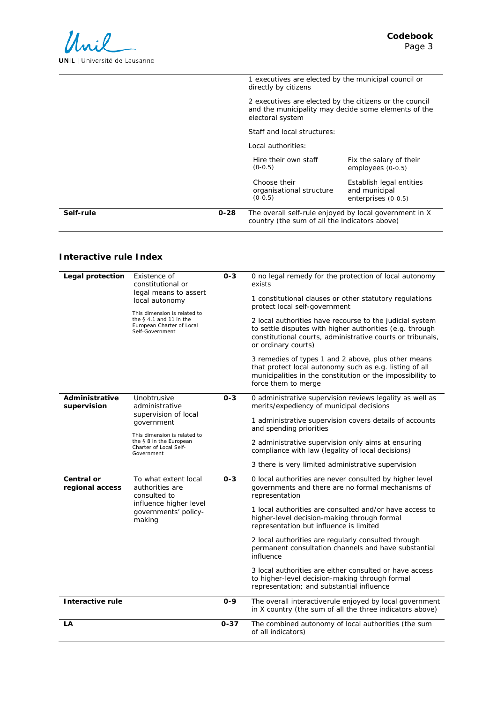| Self-rule<br>$0 - 28$ | country (the sum of all the indicators above)                                | The overall self-rule enjoyed by local government in X                                                          |
|-----------------------|------------------------------------------------------------------------------|-----------------------------------------------------------------------------------------------------------------|
|                       | Choose their<br>organisational structure<br>$(0-0.5)$                        | Establish legal entities<br>and municipal<br>enterprises (0-0.5)                                                |
|                       | Hire their own staff<br>$(0-0.5)$                                            | Fix the salary of their<br>employees (0-0.5)                                                                    |
|                       | Local authorities:                                                           |                                                                                                                 |
|                       | Staff and local structures:                                                  |                                                                                                                 |
|                       | electoral system                                                             | 2 executives are elected by the citizens or the council<br>and the municipality may decide some elements of the |
|                       | 1 executives are elected by the municipal council or<br>directly by citizens |                                                                                                                 |

## **Interactive rule Index**

| Legal protection              | <i>Existence of</i><br>constitutional or<br>legal means to assert<br>local autonomy<br>This dimension is related to<br>the $§$ 4.1 and 11 in the<br>European Charter of Local<br>Self-Government | $O - 3$  | 0 no legal remedy for the protection of local autonomy<br>exists<br>1 constitutional clauses or other statutory regulations<br>protect local self-government<br>2 local authorities have recourse to the judicial system<br>to settle disputes with higher authorities (e.g. through<br>constitutional courts, administrative courts or tribunals,<br>or ordinary courts)<br>3 remedies of types 1 and 2 above, plus other means<br>that protect local autonomy such as e.g. listing of all<br>municipalities in the constitution or the impossibility to<br>force them to merge |
|-------------------------------|--------------------------------------------------------------------------------------------------------------------------------------------------------------------------------------------------|----------|----------------------------------------------------------------------------------------------------------------------------------------------------------------------------------------------------------------------------------------------------------------------------------------------------------------------------------------------------------------------------------------------------------------------------------------------------------------------------------------------------------------------------------------------------------------------------------|
| Administrative<br>supervision | Unobtrusive<br>administrative<br>supervision of local<br>government<br>This dimension is related to<br>the § 8 in the European<br>Charter of Local Self-<br>Government                           | $0 - 3$  | 0 administrative supervision reviews legality as well as<br>merits/expediency of municipal decisions<br>1 administrative supervision covers details of accounts<br>and spending priorities<br>2 administrative supervision only aims at ensuring<br>compliance with law (legality of local decisions)<br>3 there is very limited administrative supervision                                                                                                                                                                                                                      |
| Central or<br>regional access | To what extent local<br>authorities are<br>consulted to<br>influence higher level<br>governments' policy-<br>making                                                                              | $0 - 3$  | 0 local authorities are never consulted by higher level<br>governments and there are no formal mechanisms of<br>representation<br>1 local authorities are consulted and/or have access to<br>higher-level decision-making through formal<br>representation but influence is limited<br>2 local authorities are regularly consulted through<br>permanent consultation channels and have substantial<br>influence<br>3 local authorities are either consulted or have access<br>to higher-level decision-making through formal<br>representation; and substantial influence        |
| Interactive rule              |                                                                                                                                                                                                  | $0 - 9$  | The overall interactiverule enjoyed by local government<br>in X country (the sum of all the three indicators above)                                                                                                                                                                                                                                                                                                                                                                                                                                                              |
| LA                            |                                                                                                                                                                                                  | $0 - 37$ | The combined autonomy of local authorities (the sum<br>of all indicators)                                                                                                                                                                                                                                                                                                                                                                                                                                                                                                        |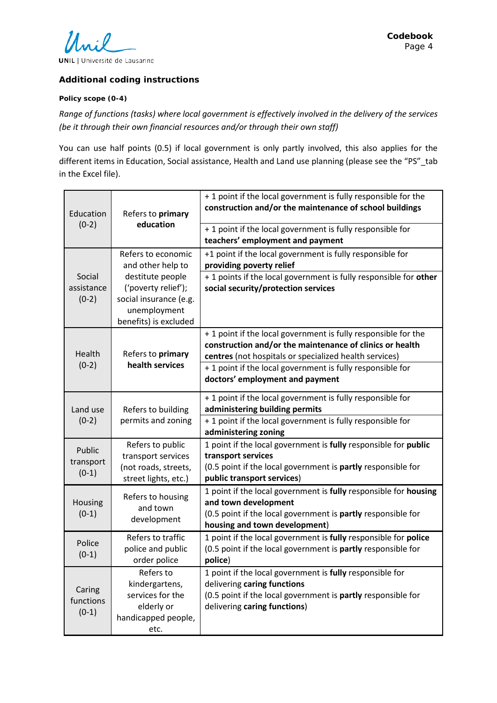

### **Additional coding instructions**

### **Policy scope (0-4)**

*Range of functions (tasks) where local government is effectively involved in the delivery of the services (be it through their own financial resources and/or through their own staff)*

You can use half points (0.5) if local government is only partly involved, this also applies for the different items in Education, Social assistance, Health and Land use planning (please see the "PS"\_tab in the Excel file).

| Education<br>$(0-2)$            | Refers to primary<br>education<br>Refers to economic<br>and other help to<br>destitute people<br>('poverty relief');<br>social insurance (e.g.<br>unemployment<br>benefits) is excluded<br>Refers to primary<br>health services | + 1 point if the local government is fully responsible for the<br>construction and/or the maintenance of school buildings                                                                 |
|---------------------------------|---------------------------------------------------------------------------------------------------------------------------------------------------------------------------------------------------------------------------------|-------------------------------------------------------------------------------------------------------------------------------------------------------------------------------------------|
|                                 |                                                                                                                                                                                                                                 | + 1 point if the local government is fully responsible for<br>teachers' employment and payment                                                                                            |
|                                 |                                                                                                                                                                                                                                 | +1 point if the local government is fully responsible for<br>providing poverty relief                                                                                                     |
| Social<br>assistance<br>$(0-2)$ |                                                                                                                                                                                                                                 | + 1 points if the local government is fully responsible for other<br>social security/protection services                                                                                  |
| Health                          |                                                                                                                                                                                                                                 | + 1 point if the local government is fully responsible for the<br>construction and/or the maintenance of clinics or health<br>centres (not hospitals or specialized health services)      |
| $(0-2)$                         |                                                                                                                                                                                                                                 | + 1 point if the local government is fully responsible for<br>doctors' employment and payment                                                                                             |
| Land use<br>$(0-2)$             | Refers to building<br>permits and zoning                                                                                                                                                                                        | + 1 point if the local government is fully responsible for<br>administering building permits                                                                                              |
|                                 |                                                                                                                                                                                                                                 | + 1 point if the local government is fully responsible for<br>administering zoning                                                                                                        |
| Public<br>transport<br>$(0-1)$  | Refers to public<br>transport services<br>(not roads, streets,                                                                                                                                                                  | 1 point if the local government is fully responsible for public<br>transport services<br>(0.5 point if the local government is partly responsible for                                     |
|                                 | street lights, etc.)                                                                                                                                                                                                            | public transport services)                                                                                                                                                                |
| Housing<br>$(0-1)$              | Refers to housing<br>and town<br>development                                                                                                                                                                                    | 1 point if the local government is fully responsible for housing<br>and town development<br>(0.5 point if the local government is partly responsible for<br>housing and town development) |
| Police<br>$(0-1)$               | Refers to traffic<br>police and public<br>order police                                                                                                                                                                          | 1 point if the local government is fully responsible for police<br>(0.5 point if the local government is partly responsible for<br>police)                                                |
| Caring<br>functions<br>$(0-1)$  | Refers to<br>kindergartens,<br>services for the<br>elderly or<br>handicapped people,<br>etc.                                                                                                                                    | 1 point if the local government is fully responsible for<br>delivering caring functions<br>(0.5 point if the local government is partly responsible for<br>delivering caring functions)   |